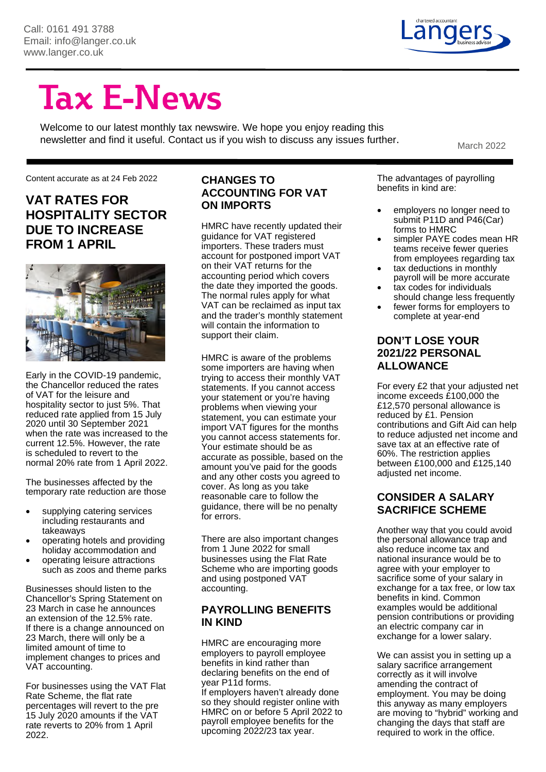

# **Tax E-News**

Welcome to our latest monthly tax newswire. We hope you enjoy reading this newsletter and find it useful. Contact us if you wish to discuss any issues further.<br>March 2022

Content accurate as at 24 Feb 2022

### **VAT RATES FOR HOSPITALITY SECTOR DUE TO INCREASE FROM 1 APRIL**



Early in the COVID-19 pandemic, the Chancellor reduced the rates of VAT for the leisure and hospitality sector to just 5%. That reduced rate applied from 15 July 2020 until 30 September 2021 when the rate was increased to the current 12.5%. However, the rate is scheduled to revert to the normal 20% rate from 1 April 2022.

The businesses affected by the temporary rate reduction are those

- supplying catering services including restaurants and takeaways
- operating hotels and providing holiday accommodation and
- operating leisure attractions such as zoos and theme parks

Businesses should listen to the Chancellor's Spring Statement on 23 March in case he announces an extension of the 12.5% rate. If there is a change announced on 23 March, there will only be a limited amount of time to implement changes to prices and VAT accounting.

For businesses using the VAT Flat Rate Scheme, the flat rate percentages will revert to the pre 15 July 2020 amounts if the VAT rate reverts to 20% from 1 April 2022.

### **CHANGES TO ACCOUNTING FOR VAT ON IMPORTS**

HMRC have recently updated their guidance for VAT registered importers. These traders must account for postponed import VAT on their VAT returns for the accounting period which covers the date they imported the goods. The normal rules apply for what VAT can be reclaimed as input tax and the trader's monthly statement will contain the information to support their claim.

HMRC is aware of the problems some importers are having when trying to access their monthly VAT statements. If you cannot access your statement or you're having problems when viewing your statement, you can estimate your import VAT figures for the months you cannot access statements for. Your estimate should be as accurate as possible, based on the amount you've paid for the goods and any other costs you agreed to cover. As long as you take reasonable care to follow the guidance, there will be no penalty for errors.

There are also important changes from 1 June 2022 for small businesses using the Flat Rate Scheme who are importing goods and using postponed VAT accounting.

### **PAYROLLING BENEFITS IN KIND**

HMRC are encouraging more employers to payroll employee benefits in kind rather than declaring benefits on the end of year P11d forms. If employers haven't already done

so they should register online with HMRC on or before 5 April 2022 to payroll employee benefits for the upcoming 2022/23 tax year.

The advantages of payrolling benefits in kind are:

- employers no longer need to submit P11D and P46(Car) forms to HMRC
- simpler PAYE codes mean HR teams receive fewer queries from employees regarding tax
- tax deductions in monthly payroll will be more accurate
- tax codes for individuals should change less frequently
- fewer forms for employers to complete at year-end

### **DON'T LOSE YOUR 2021/22 PERSONAL ALLOWANCE**

For every £2 that your adjusted net income exceeds £100,000 the £12,570 personal allowance is reduced by £1. Pension contributions and Gift Aid can help to reduce adjusted net income and save tax at an effective rate of 60%. The restriction applies between £100,000 and £125,140 adjusted net income.

### **CONSIDER A SALARY SACRIFICE SCHEME**

Another way that you could avoid the personal allowance trap and also reduce income tax and national insurance would be to agree with your employer to sacrifice some of your salary in exchange for a tax free, or low tax benefits in kind. Common examples would be additional pension contributions or providing an electric company car in exchange for a lower salary.

We can assist you in setting up a salary sacrifice arrangement correctly as it will involve amending the contract of employment. You may be doing this anyway as many employers are moving to "hybrid" working and changing the days that staff are required to work in the office.